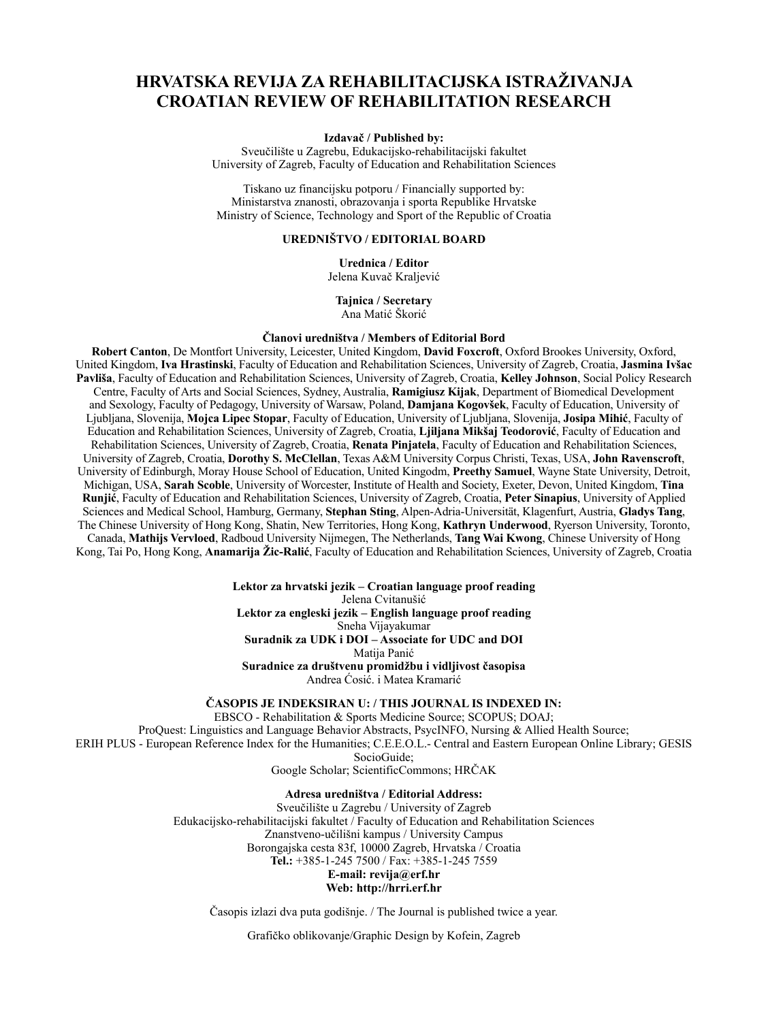### **HRVATSKA REVIJA ZA REHABILITACIJSKA ISTRAŽIVANJA CROATIAN REVIEW OF REHABILITATION RESEARCH**

#### **Izdavač / Published by:**

Sveučilište u Zagrebu, Edukacijsko-rehabilitacijski fakultet University of Zagreb, Faculty of Education and Rehabilitation Sciences

Tiskano uz financijsku potporu / Financially supported by: Ministarstva znanosti, obrazovanja i sporta Republike Hrvatske Ministry of Science, Technology and Sport of the Republic of Croatia

#### **UREDNIŠTVO / EDITORIAL BOARD**

**Urednica / Editor** Jelena Kuvač Kraljević

**Tajnica / Secretary** Ana Matić Škorić

#### **Članovi uredništva / Members of Editorial Bord**

**Robert Canton**, De Montfort University, Leicester, United Kingdom, **David Foxcroft**, Oxford Brookes University, Oxford, United Kingdom, **Iva Hrastinski**, Faculty of Education and Rehabilitation Sciences, University of Zagreb, Croatia, **Jasmina Ivšac Pavliša**, Faculty of Education and Rehabilitation Sciences, University of Zagreb, Croatia, **Kelley Johnson**, Social Policy Research Centre, Faculty of Arts and Social Sciences, Sydney, Australia, **Ramigiusz Kijak**, Department of Biomedical Development and Sexology, Faculty of Pedagogy, University of Warsaw, Poland, **Damjana Kogovšek**, Faculty of Education, University of Ljubljana, Slovenija, **Mojca Lipec Stopar**, Faculty of Education, University of Ljubljana, Slovenija, **Josipa Mihić**, Faculty of Education and Rehabilitation Sciences, University of Zagreb, Croatia, **Ljiljana Mikšaj Teodorović**, Faculty of Education and Rehabilitation Sciences, University of Zagreb, Croatia, **Renata Pinjatela**, Faculty of Education and Rehabilitation Sciences, University of Zagreb, Croatia, **Dorothy S. McClellan**, Texas A&M University Corpus Christi, Texas, USA, **John Ravenscroft**, University of Edinburgh, Moray House School of Education, United Kingodm, **Preethy Samuel**, Wayne State University, Detroit, Michigan, USA, **Sarah Scoble**, University of Worcester, Institute of Health and Society, Exeter, Devon, United Kingdom, **Tina Runjić**, Faculty of Education and Rehabilitation Sciences, University of Zagreb, Croatia, **Peter Sinapius**, University of Applied Sciences and Medical School, Hamburg, Germany, **Stephan Sting**, Alpen-Adria-Universität, Klagenfurt, Austria, **Gladys Tang**, The Chinese University of Hong Kong, Shatin, New Territories, Hong Kong, **Kathryn Underwood**, Ryerson University, Toronto, Canada, **Mathijs Vervloed**, Radboud University Nijmegen, The Netherlands, **Tang Wai Kwong**, Chinese University of Hong Kong, Tai Po, Hong Kong, **Anamarija Žic-Ralić**, Faculty of Education and Rehabilitation Sciences, University of Zagreb, Croatia

> **Lektor za hrvatski jezik – Croatian language proof reading** Jelena Cvitanušić **Lektor za engleski jezik – English language proof reading** Sneha Vijayakumar **Suradnik za UDK i DOI – Associate for UDC and DOI** Matija Panić **Suradnice za društvenu promidžbu i vidljivost časopisa**

Andrea Ćosić. i Matea Kramarić

**ČASOPIS JE INDEKSIRAN U: / THIS JOURNAL IS INDEXED IN:**

EBSCO - Rehabilitation & Sports Medicine Source; SCOPUS; DOAJ; ProQuest: Linguistics and Language Behavior Abstracts, PsycINFO, Nursing & Allied Health Source; ERIH PLUS - European Reference Index for the Humanities; C.E.E.O.L.- Central and Eastern European Online Library; GESIS SocioGuide; Google Scholar; ScientificCommons; HRČAK

**Adresa uredništva / Editorial Address:**

Sveučilište u Zagrebu / University of Zagreb Edukacijsko-rehabilitacijski fakultet / Faculty of Education and Rehabilitation Sciences Znanstveno-učilišni kampus / University Campus Borongajska cesta 83f, 10000 Zagreb, Hrvatska / Croatia **Tel.:** +385-1-245 7500 / Fax: +385-1-245 7559 **E-mail: revija@erf.hr Web: http://hrri.erf.hr** 

Časopis izlazi dva puta godišnje. / The Journal is published twice a year.

Grafičko oblikovanje/Graphic Design by Kofein, Zagreb